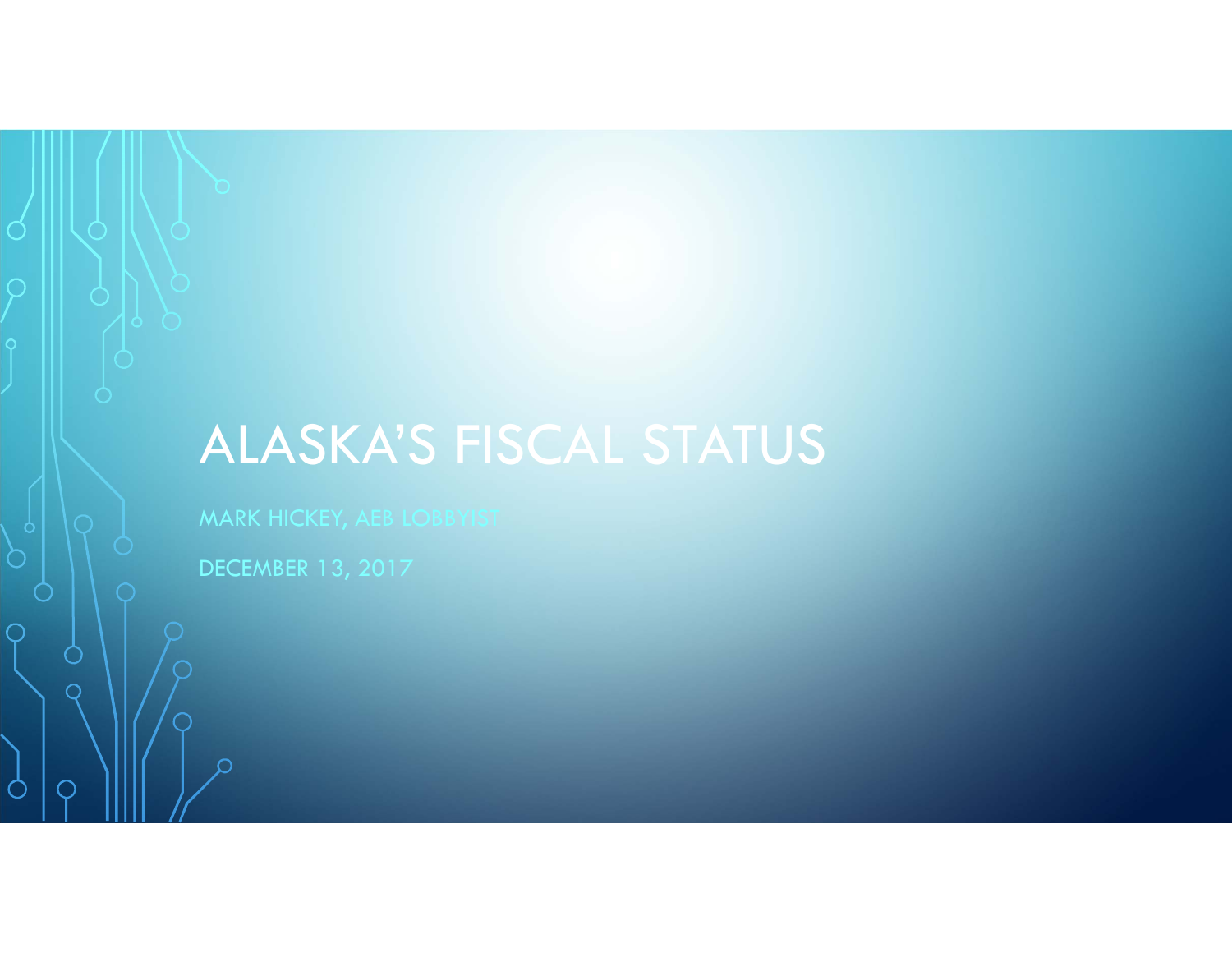# ALASKA'S FISCAL STATUS

MARK HICKEY, AEB LOBBYIST

DECEMBER 13, 2017

 $\circlearrowleft$ 

 $\overline{\bigcirc}$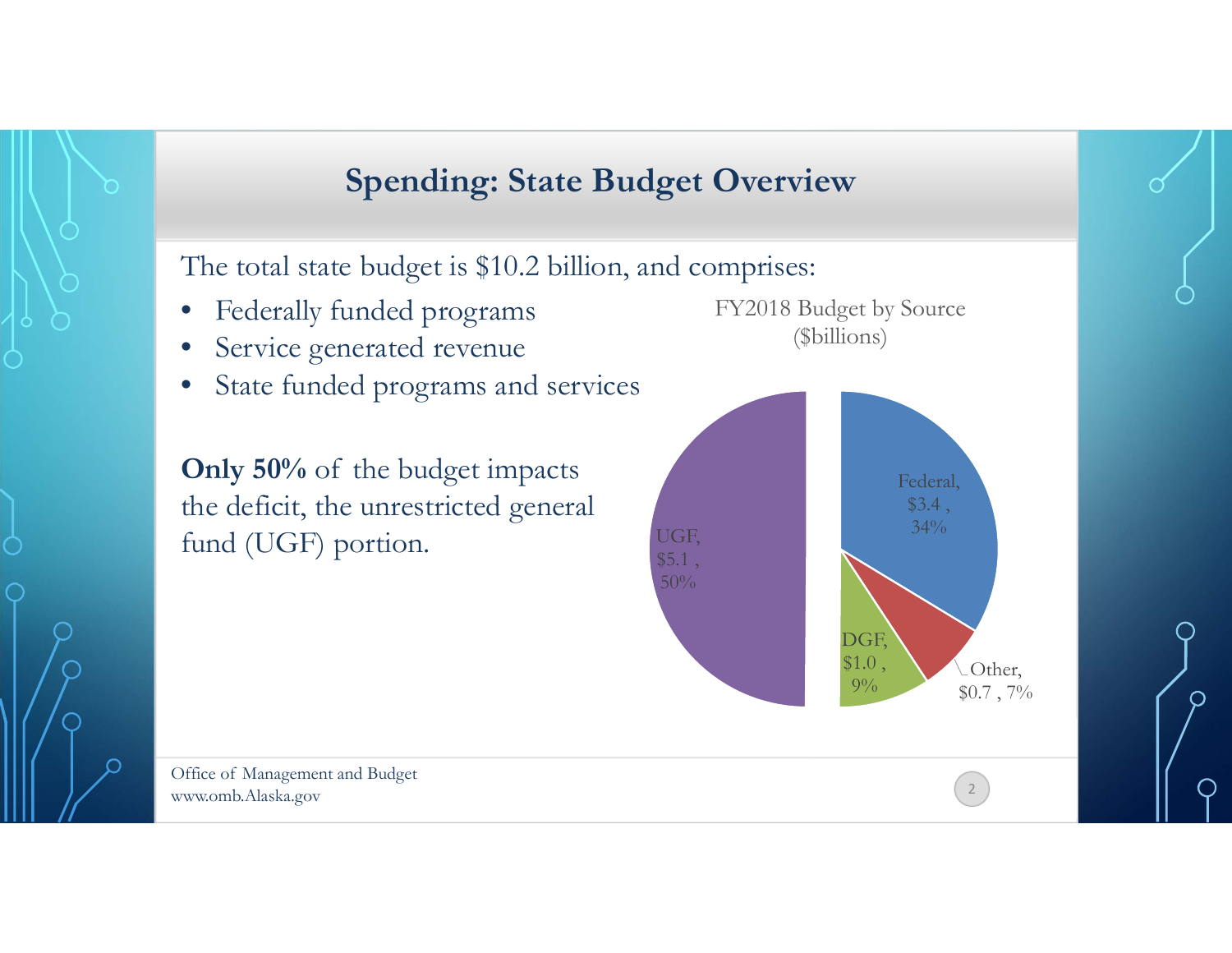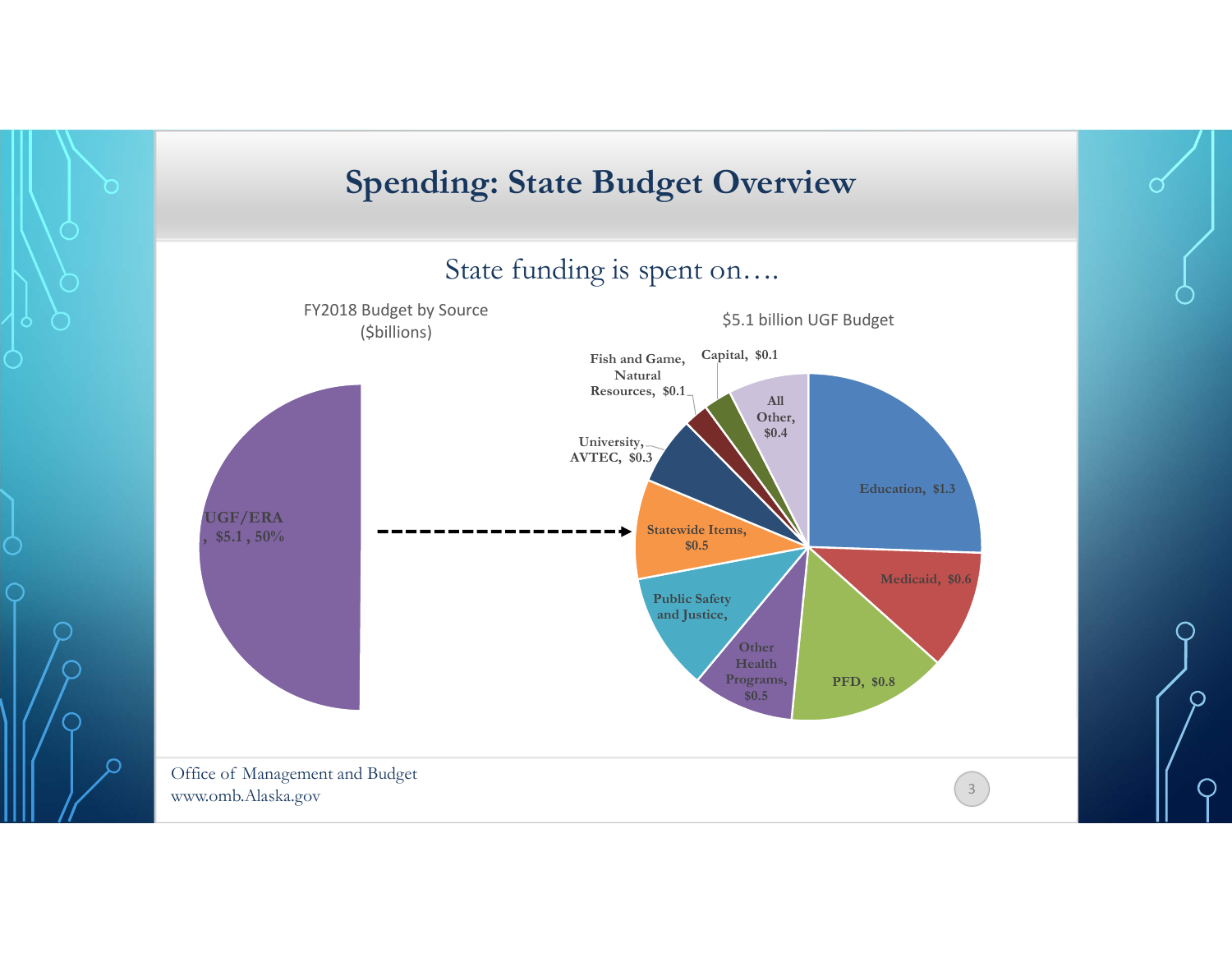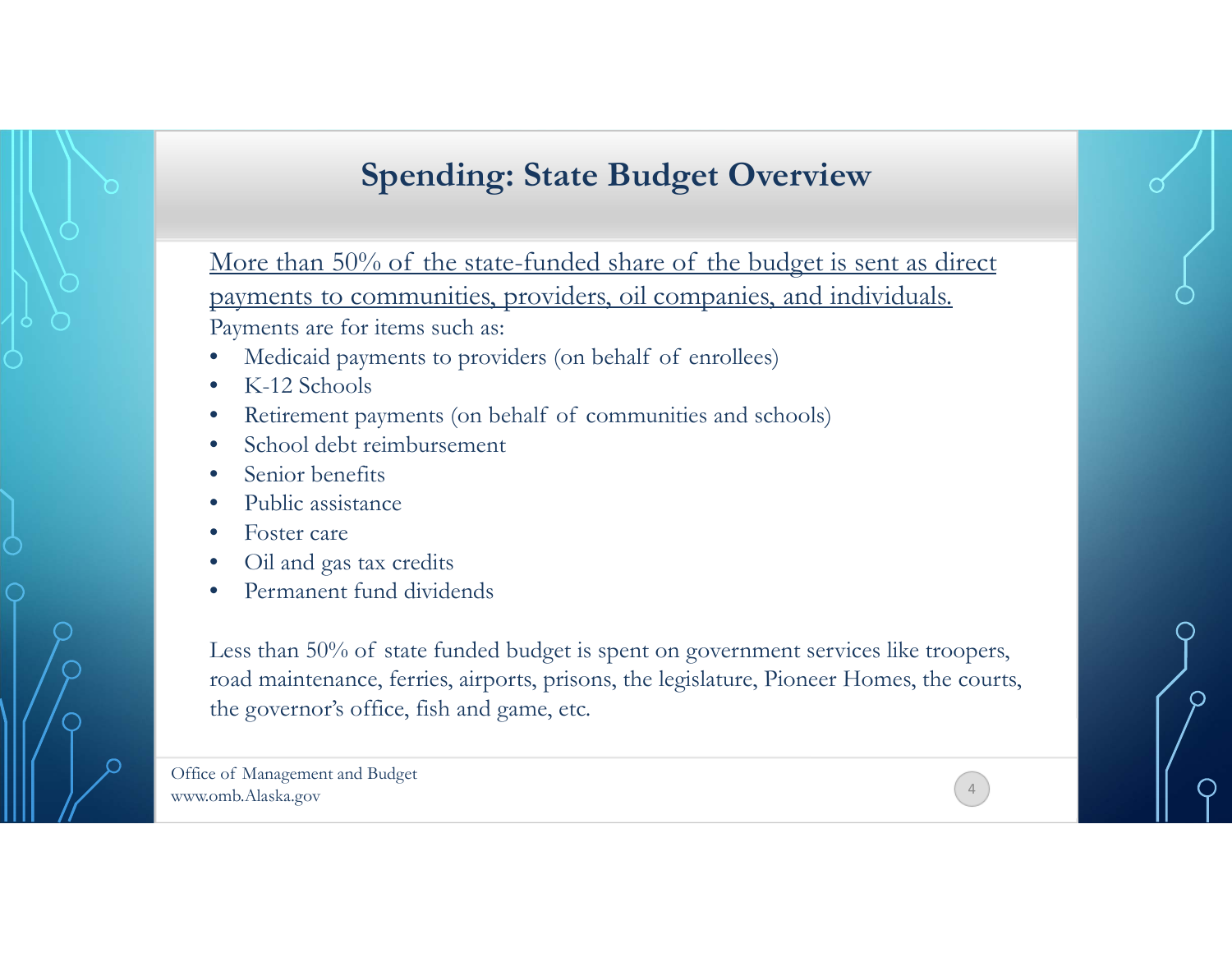## **Spending: State Budget Overview**

More than 50% of the state-funded share of the budget is sent as direct payments to communities, providers, oil companies, and individuals. Payments are for items such as:

- •Medicaid payments to providers (on behalf of enrollees)
- •K-12 Schools
- •Retirement payments (on behalf of communities and schools)
- •School debt reimbursement
- •Senior benefits
- •Public assistance
- •Foster care
- •Oil and gas tax credits
- •Permanent fund dividends

Less than 50% of state funded budget is spent on government services like troopers, road maintenance, ferries, airports, prisons, the legislature, Pioneer Homes, the courts, the governor's office, fish and game, etc.

4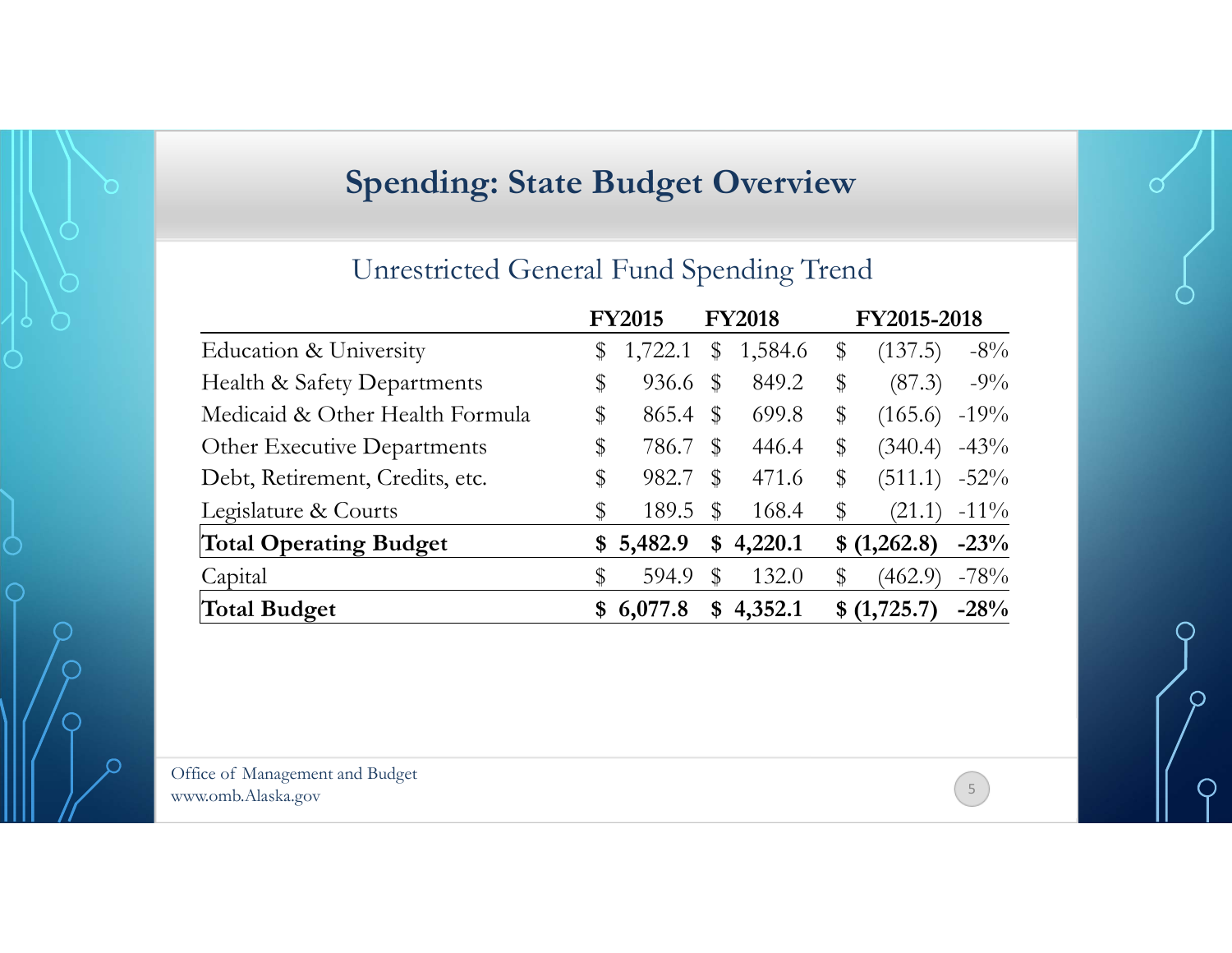# **Spending: State Budget Overview**

### Unrestricted General Fund Spending Trend

|                                 | <b>FY2015</b> |       | <b>FY2018</b> | FY2015-2018   |         |  |
|---------------------------------|---------------|-------|---------------|---------------|---------|--|
| Education & University          | \$<br>1,722.1 | \$    | 1,584.6       | \$<br>(137.5) | $-8\%$  |  |
| Health & Safety Departments     | \$<br>936.6   | $\$\$ | 849.2         | \$<br>(87.3)  | $-9\%$  |  |
| Medicaid & Other Health Formula | \$<br>865.4   | $\$\$ | 699.8         | \$<br>(165.6) | $-19%$  |  |
| Other Executive Departments     | \$<br>786.7   | \$    | 446.4         | \$<br>(340.4) | $-43%$  |  |
| Debt, Retirement, Credits, etc. | \$<br>982.7   | $\$\$ | 471.6         | \$<br>(511.1) | $-52%$  |  |
| Legislature & Courts            | \$<br>189.5   | \$    | 168.4         | \$<br>(21.1)  | $-11\%$ |  |
| <b>Total Operating Budget</b>   | \$<br>5,482.9 | \$    | 4,220.1       | \$ (1,262.8)  | $-23%$  |  |
| Capital                         | \$<br>594.9   | \$    | 132.0         | \$<br>(462.9) | $-78%$  |  |
| Total Budget                    | \$6,077.8     |       | \$4,352.1     | \$(1,725.7)   | $-28%$  |  |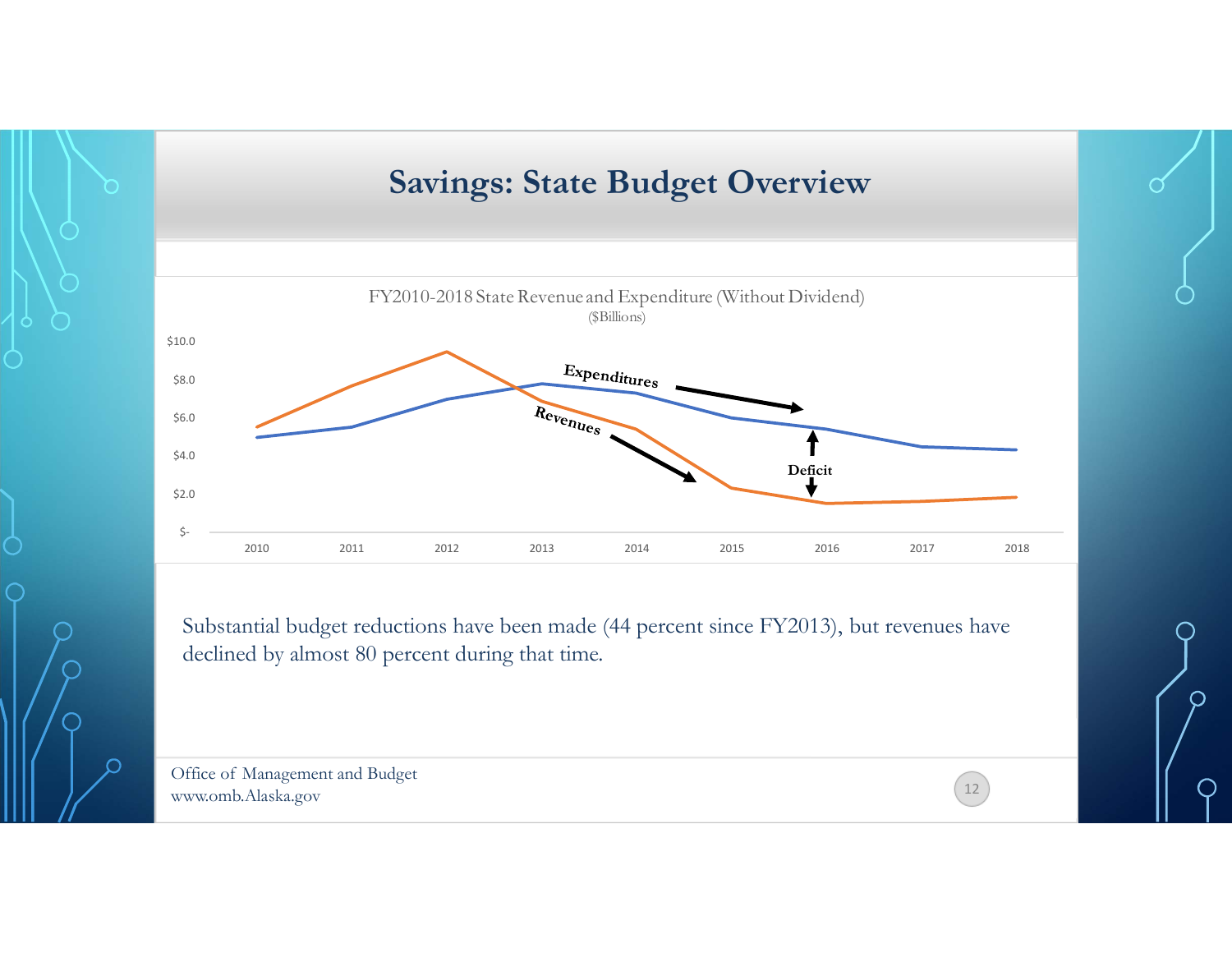

Substantial budget reductions have been made (44 percent since FY2013), but revenues have declined by almost 80 percent during that time.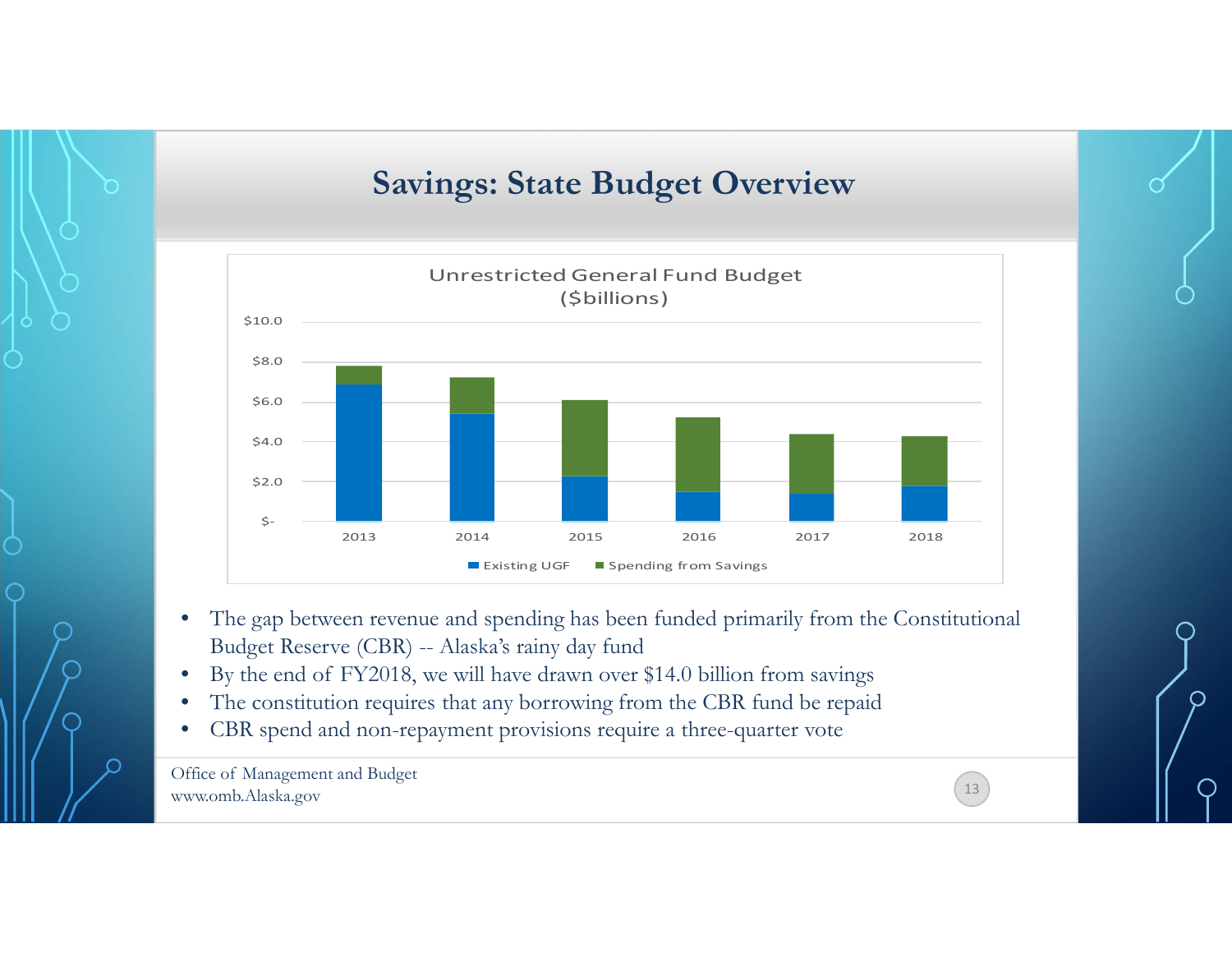### **Savings: State Budget Overview**



- $\bullet$  The gap between revenue and spending has been funded primarily from the Constitutional Budget Reserve (CBR) -- Alaska's rainy day fund
- •By the end of FY2018, we will have drawn over \$14.0 billion from savings
- •The constitution requires that any borrowing from the CBR fund be repaid
- •CBR spend and non-repayment provisions require a three-quarter vote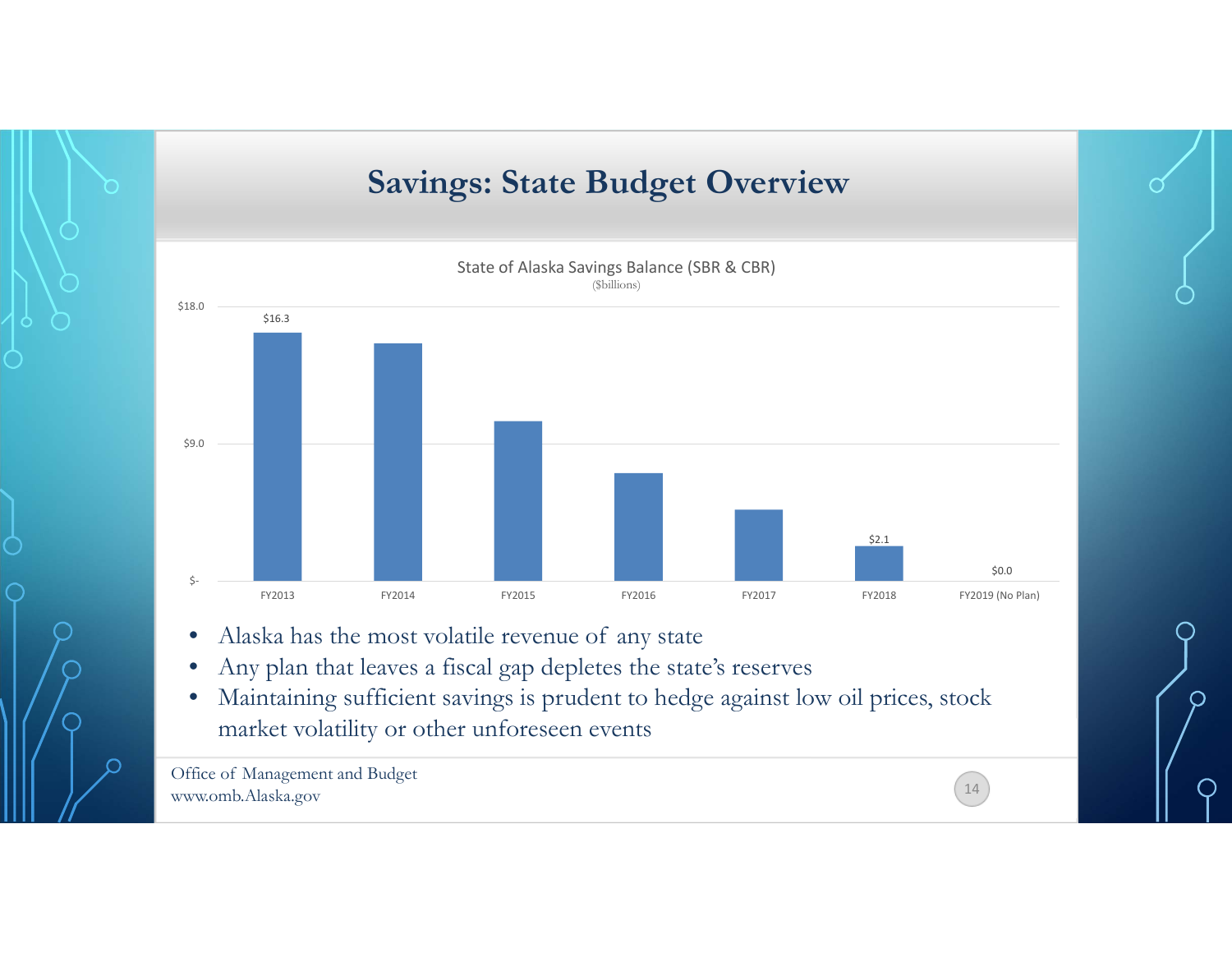



- •Alaska has the most volatile revenue of any state
- •Any plan that leaves a fiscal gap depletes the state's reserves
- $\bullet$  Maintaining sufficient savings is prudent to hedge against low oil prices, stock market volatility or other unforeseen events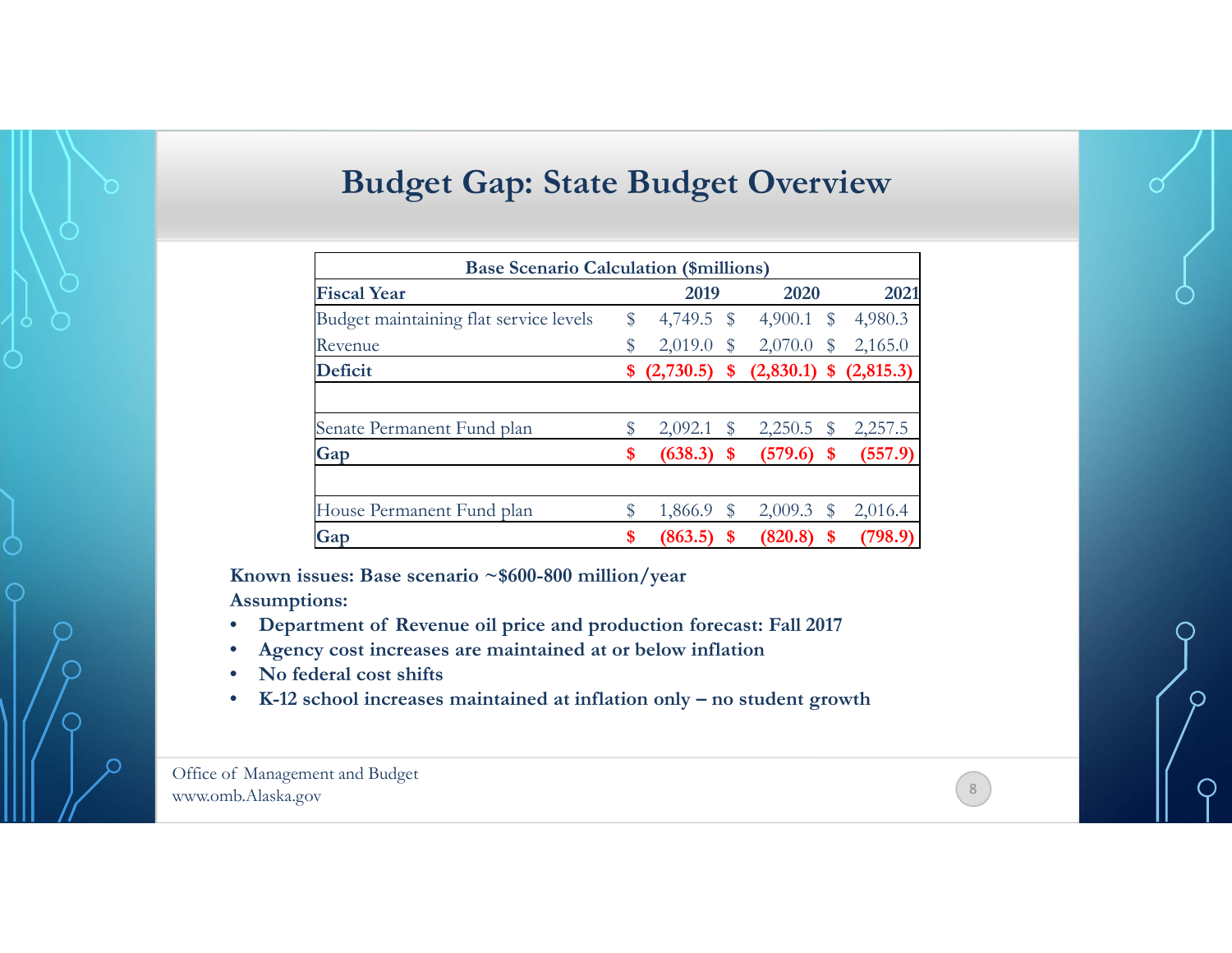### **Budget Gap: State Budget Overview**

| <b>Base Scenario Calculation (\$millions)</b> |    |                 |    |                                  |              |                            |  |  |  |  |  |  |  |
|-----------------------------------------------|----|-----------------|----|----------------------------------|--------------|----------------------------|--|--|--|--|--|--|--|
| <b>Fiscal Year</b>                            |    | 2019            |    | 2020                             |              | 2021                       |  |  |  |  |  |  |  |
| Budget maintaining flat service levels        | \$ |                 |    | 4,749.5 $\frac{1}{2}$ 4,900.1 \$ |              | 4,980.3                    |  |  |  |  |  |  |  |
| Revenue                                       | \$ | $2,019.0$ \$    |    | 2,070.0                          | $\$\$        | 2,165.0                    |  |  |  |  |  |  |  |
| <b>Deficit</b>                                |    | \$ (2,730.5) \$ |    |                                  |              | $(2,830.1)$ \$ $(2,815.3)$ |  |  |  |  |  |  |  |
|                                               |    |                 |    |                                  |              |                            |  |  |  |  |  |  |  |
| Senate Permanent Fund plan                    |    | 2,092.1         | S  | 2,250.5                          | $\mathbb{S}$ | 2,257.5                    |  |  |  |  |  |  |  |
| Gap                                           | \$ | (638.3)         | \$ | (579.6)                          | S            | (557.9)                    |  |  |  |  |  |  |  |
| House Permanent Fund plan                     |    | 1,866.9         | S  | 2,009.3                          | \$           | 2,016.4                    |  |  |  |  |  |  |  |
| Gap                                           | \$ | (863.5)         | \$ | (820.8)                          | \$           | (798.9                     |  |  |  |  |  |  |  |

**Known issues: Base scenario ~\$600-800 million/year Assumptions:**

• **Department of Revenue oil price and production forecast: Fall 2017** 

- •**Agency cost increases are maintained at or below inflation**
- •**No federal cost shifts**
- •**K-12 school increases maintained at inflation only – no student growth**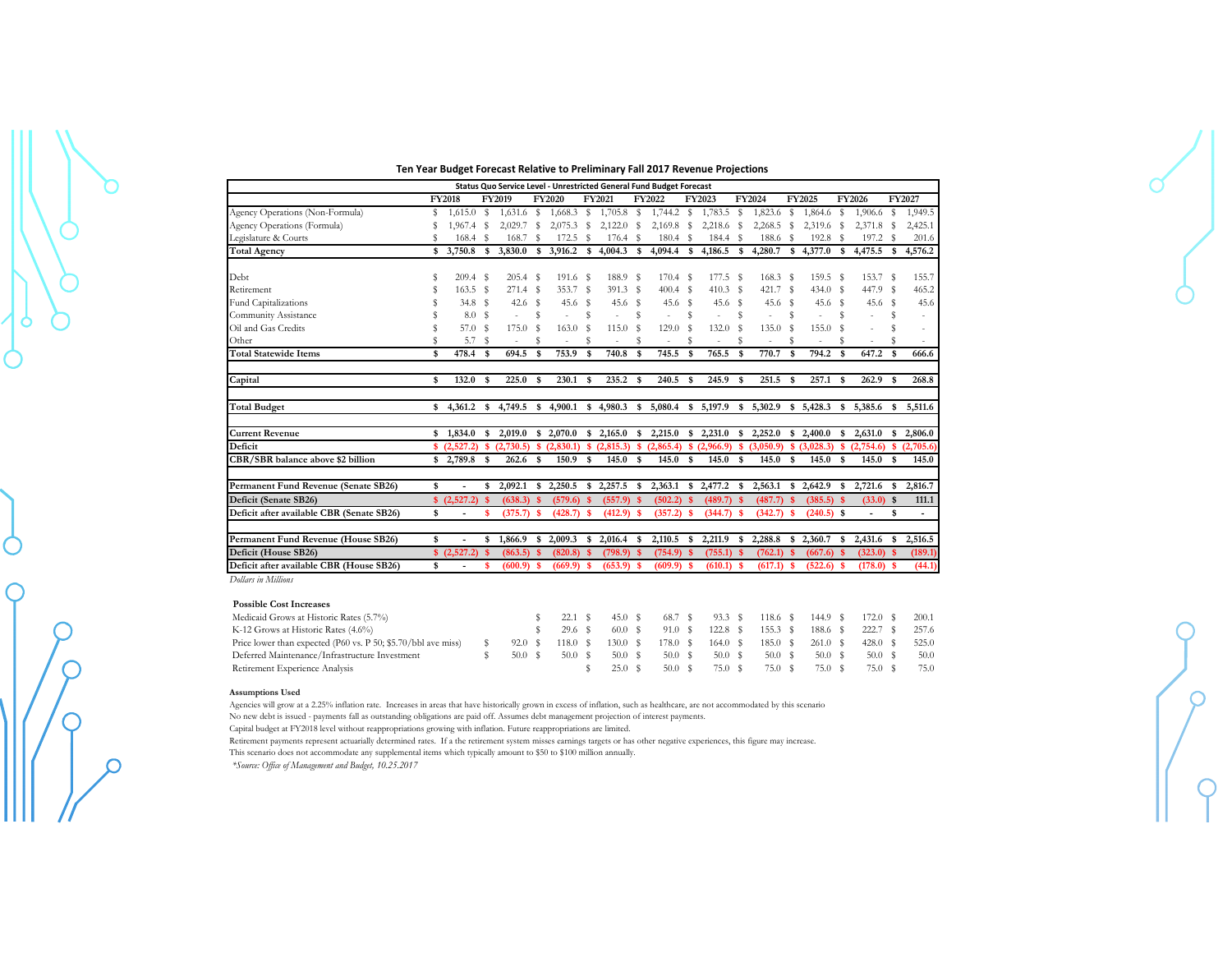#### **Ten Year Budget Forecast Relative to Preliminary Fall 2017 Revenue Projections**

| Status Quo Service Level - Unrestricted General Fund Budget Forecast |     |                 |      |                                |      |              |          |                    |    |                   |    |              |      |                   |          |              |          |                   |              |             |
|----------------------------------------------------------------------|-----|-----------------|------|--------------------------------|------|--------------|----------|--------------------|----|-------------------|----|--------------|------|-------------------|----------|--------------|----------|-------------------|--------------|-------------|
|                                                                      |     | <b>FY2018</b>   |      | <b>FY2020</b><br><b>FY2019</b> |      | FY2021       |          | FY2022             |    | FY2023            |    | FY2024       |      | FY2025            |          | FY2026       |          | FY2027            |              |             |
| Agency Operations (Non-Formula)                                      | s   | 1,615.0         | s    | 1,631.6                        | s    | $1,668.3$ \$ |          | $1,705.8$ \$       |    | 1,744.2           | s  | 1,783.5      | s    | 1,823.6           | s        | 1,864.6      | s        | 1,906.6           | s            | 1,949.5     |
| Agency Operations (Formula)                                          |     | 1.967.4         | -S   | 2,029.7                        | s    | 2,075.3      | S        | $2,122.0$ \$       |    | 2,169.8           | S  | 2,218.6      | s    | 2,268.5           | S        | 2,319.6 \$   |          | 2,371.8           | -S           | 2,425.1     |
| Legislature & Courts                                                 |     | 168.4           | S    | 168.7                          | s    | 172.5        | s        | $176.4$ \$         |    | 180.4             | S  | 184.4        | s    | 188.6             | -S       | 192.8        | s        | 197.2             | s            | 201.6       |
| <b>Total Agency</b>                                                  | S   | 3,750.8         | \$   | 3,830.0                        | \$   | 3,916.2      |          | \$4,004.3          | \$ | 4,094.4           | s. | 4,186.5      | \$   | 4,280.7           |          | \$4,377.0    | - \$     | 4,475.5           | s.           | 4,576.2     |
| Debt                                                                 |     | $209.4$ \$      |      | $205.4$ \$                     |      | $191.6$ \$   |          | 188.9 \$           |    | $170.4$ S         |    | 177.5        | s    | 168.3             | - S      | 159.5 \$     |          | 153.7             | -S           | 155.7       |
| Retirement                                                           |     | 163.5           | s    | 271.4                          | - \$ | 353.7        | -S       | $391.3$ \$         |    | $400.4$ S         |    | 410.3        | -S   | 421.7             | - S      | $434.0$ S    |          | 447.9             | -S           | 465.2       |
| Fund Capitalizations                                                 |     | 34.8            | s    | 42.6                           | s    | 45.6         | - \$     | $45.6$ \$          |    | 45.6 <sup>°</sup> |    | $45.6$ S     |      | 45.6 <sup>°</sup> |          | $45.6$ \$    |          | 45.6 <sup>°</sup> |              | 45.6        |
| Community Assistance                                                 |     | 8.0             | Ŝ    |                                | S    |              | s        |                    | s  |                   | S  |              | s    |                   | s        |              | S        |                   | S            | $\sim$      |
| Oil and Gas Credits                                                  |     | 57.0            | Ŝ    | 175.0                          | s    | 163.0        | s        | 115.0              | S  | 129.0             | s  | 132.0        | s    | 135.0             | S        | 155.0        |          |                   |              | $\sim$      |
| Other                                                                |     | 5.7             | s    |                                |      |              | S        |                    |    |                   |    |              | S    |                   | s        |              |          |                   |              |             |
| <b>Total Statewide Items</b>                                         | \$  | 478.4           | \$   | 694.5                          | \$   | 753.9        | -S       | 740.8              | S  | 745.5             | -S | 765.5        | -S   | 770.7             | \$       | 794.2        | - \$     | 647.2             | s            | 666.6       |
| Capital                                                              | \$  | 132.0           | \$   | 225.0                          | - \$ | 230.1        | -S       | 235.2 <sup>5</sup> |    | 240.5             | -S | 245.9        | \$   | 251.5             | - \$     | $257.1$ \$   |          | 262.9             | $\mathbf{s}$ | 268.8       |
| <b>Total Budget</b>                                                  | \$. | 4,361.2         | S.   | 4,749.5                        | -S   | 4,900.1      |          | \$4,980.3          | s. | 5,080.4           |    | \$5,197.9    | \$   | 5,302.9           |          | \$5,428.3    | -S       | 5,385.6           | s.           | 5.511.6     |
| <b>Current Revenue</b>                                               | \$  | 1,834.0         | \$   | 2,019.0                        |      | \$2,070.0    |          | \$2,165.0          | s  | 2,215.0           |    | \$2,231.0    | \$   | 2,252.0           |          | \$2,400.0    | S        | 2,631.0           | \$           | 2,806.0     |
| Deficit                                                              |     | \$ (2,527.2)    | \$.  | (2,730.5)                      |      | \$ (2,830.1) | -S       | (2,815.3)          |    | \$(2,865.4)       |    | \$(2,966.9)  |      | \$ (3,050.9)      |          | \$ (3.028.3) | <b>S</b> | (2,754.6)         |              | \$(2,705.6) |
| CBR/SBR balance above \$2 billion                                    |     | \$2,789.8       | \$   | 262.6                          | -S   | 150.9        | <b>S</b> | 145.0              | \$ | 145.0             | £. | 145.0        | \$   | 145.0             | <b>S</b> | 145.0        | \$       | 145.0             | \$.          | 145.0       |
| Permanent Fund Revenue (Senate SB26)                                 | \$  |                 | \$   | 2,092.1                        | s.   | 2,250.5      | $\sim$   | 2,257.5            | -S | 2,363.1           |    | \$2,477.2    | -S   | 2,563.1           | -S       | 2,642.9      | - \$     | 2,721.6           | -S           | 2,816.7     |
| Deficit (Senate SB26)                                                |     | \$ (2,527.2) \$ |      | (638.3)                        | - \$ | $(579.6)$ \$ |          | (557.9)            | -S | (502.2)           |    | (489.7)      | -S   | (487.7)           |          | $(385.5)$ \$ |          | $(33.0)$ \$       |              | 111.1       |
| Deficit after available CBR (Senate SB26)                            | \$  |                 | \$   | $(375.7)$ \$                   |      | $(428.7)$ \$ |          | $(412.9)$ \$       |    | $(357.2)$ \$      |    | (344.7)      | -\$  | $(342.7)$ \$      |          | $(240.5)$ \$ |          |                   | \$           |             |
| Permanent Fund Revenue (House SB26)                                  | \$  |                 | \$   | 1,866.9                        | s.   | 2,009.3      | s        | 2,016.4            | -S | 2,110.5           | S. | 2,211.9      | s    | 2,288.8           | -S       | 2,360.7      | -S       | 2,431.6           | s.           | 2,516.5     |
| Deficit (House SB26)                                                 |     | \$(2,527.2)     | - \$ | (863.5)                        | -S   | $(820.8)$ \$ |          | (798.9)            | -S | $(754.9)$ \$      |    | (755.1)      | - \$ | $(762.1)$ \$      |          | $(667.6)$ \$ |          | $(323.0)$ \$      |              | (189.1)     |
| Deficit after available CBR (House SB26)                             | \$  |                 | \$   | $(600.9)$ \$                   |      | $(669.9)$ \$ |          | $(653.9)$ \$       |    | $(609.9)$ \$      |    | $(610.1)$ \$ |      | $(617.1)$ \$      |          | $(522.6)$ \$ |          | $(178.0)$ \$      |              | (44.1)      |

*Dollars in Millions*

#### **Possible Cost Increases**

| Medicaid Grows at Historic Rates (5.7%)                       |        | 22.1 S  | 45.0 S  | 68.7 S  | 93.3 S  | 118.6 \$           | 144.9 S  | 172.0 S | 200.1   |
|---------------------------------------------------------------|--------|---------|---------|---------|---------|--------------------|----------|---------|---------|
| K-12 Grows at Historic Rates (4.6%)                           |        | 29.6 S  | 60.0 \$ | 91.0 S  | 122.8 S | 155.3 <sup>5</sup> | 188.6 \$ | 222.7 S | 257.6   |
| Price lower than expected (P60 vs. P 50; \$5.70/bbl ave miss) | 92.0 S | 118.0 S | 130.0 S | 178.0 S | 164.0 S | 185.0 S            | 261.0 S  | 428.0 S | - 525.0 |
| Deferred Maintenance/Infrastructure Investment                | 50.0 S | 50.0 S  | 50.0 S  | 50.0 S  | 50.0 S  | 50.0 S             | 50.0 S   | 50.0 S  | 50.0    |
| Retirement Experience Analysis                                |        |         | 25.0 S  | 50.0 S  | 75.0 S  | 75.0 \$            | 75.0 S   | 75.0 S  | 75.0    |

#### **Assumptions Used**

C

Agencies will grow at a 2.25% inflation rate. Increases in areas that have historically grown in excess of inflation, such as healthcare, are not accommodated by this scenario

No new debt is issued - payments fall as outstanding obligations are paid off. Assumes debt management projection of interest payments.

Capital budget at FY2018 level without reappropriations growing with inflation. Future reappropriations are limited.

Retirement payments represent actuarially determined rates. If a the retirement system misses earnings targets or has other negative experiences, this figure may increase.

This scenario does not accommodate any supplemental items which typically amount to \$50 to \$100 million annually.

*\*Source: Office of Management and Budget, 10.25.2017*